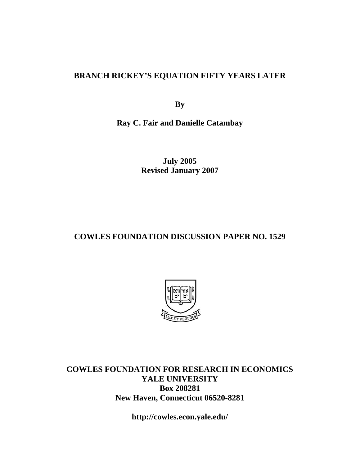### **BRANCH RICKEY'S EQUATION FIFTY YEARS LATER**

**By** 

**Ray C. Fair and Danielle Catambay** 

**July 2005 Revised January 2007** 

#### **COWLES FOUNDATION DISCUSSION PAPER NO. 1529**



**COWLES FOUNDATION FOR RESEARCH IN ECONOMICS YALE UNIVERSITY Box 208281 New Haven, Connecticut 06520-8281** 

**http://cowles.econ.yale.edu/**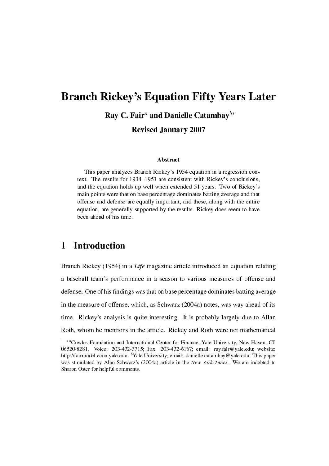# Branch Rickey's Equation Fifty Years Later

Ray C. Fair*<sup>a</sup>* and Danielle Catambay*<sup>b</sup><sup>∗</sup>*

Revised January 2007

#### Abstract

This paper analyzes Branch Rickey's 1954 equation in a regression context. The results for 1934–1953 are consistent with Rickey's conclusions, and the equation holds up well when extended 51 years. Two of Rickey's main points were that on base percentage dominates batting average and that offense and defense are equally important, and these, along with the entire equation, are generally supported by the results. Rickey does seem to have been ahead of his time.

## 1 Introduction

Branch Rickey (1954) in a Life magazine article introduced an equation relating a baseball team's performance in a season to various measures of offense and defense. One of his findings was that on base percentage dominates batting average in the measure of offense, which, as Schwarz (2004a) notes, was way ahead of its time. Rickey's analysis is quite interesting. It is probably largely due to Allan Roth, whom he mentions in the article. Rickey and Roth were not mathematical

*<sup>∗</sup><sup>a</sup>*Cowles Foundation and International Center for Finance, Yale University, New Haven, CT 06520-8281. Voice: 203-432-3715; Fax: 203-432-6167; email: ray.fair@yale.edu; website: http://fairmodel.econ.yale.edu. *<sup>b</sup>*Yale University; email: danielle.catambay@yale.edu. This paper was stimulated by Alan Schwarz's (2004a) article in the New York Times. We are indebted to Sharon Oster for helpful comments.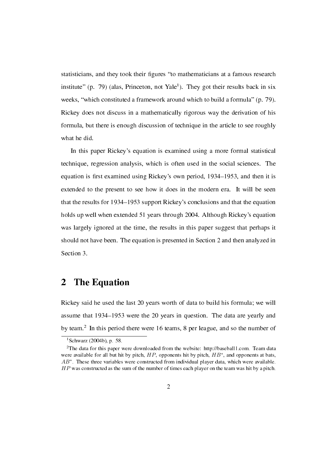statisticians, and they took their figures "to mathematicians at a famous research institute" (p. 79) (alas, Princeton, not Yale<sup>1</sup>). They got their results back in six weeks, "which constituted a framework around which to build a formula" (p. 79). Rickey does not discuss in a mathematically rigorous way the derivation of his formula, but there is enough discussion of technique in the article to see roughly what he did.

In this paper Rickey's equation is examined using a more formal statistical technique, regression analysis, which is often used in the social sciences. The equation is first examined using Rickey's own period, 1934–1953, and then it is extended to the present to see how it does in the modern era. It will be seen that the results for 1934–1953 support Rickey's conclusions and that the equation holds up well when extended 51 years through 2004. Although Rickey's equation was largely ignored at the time, the results in this paper suggest that perhaps it should not have been. The equation is presented in Section 2 and then analyzed in Section 3.

## 2 The Equation

Rickey said he used the last 20 years worth of data to build his formula; we will assume that 1934–1953 were the 20 years in question. The data are yearly and by team.<sup>2</sup> In this period there were 16 teams, 8 per league, and so the number of

 $1$ Schwarz (2004b), p. 58.

<sup>2</sup>The data for this paper were downloaded from the website: http://baseball1.com. Team data were available for all but hit by pitch, *HP*, opponents hit by pitch, *HB<sup>∗</sup>* , and opponents at bats, *AB<sup>∗</sup>* . These three variables were constructed from individual player data, which were available. *HP* was constructed as the sum of the number of times each player on the team was hit by a pitch.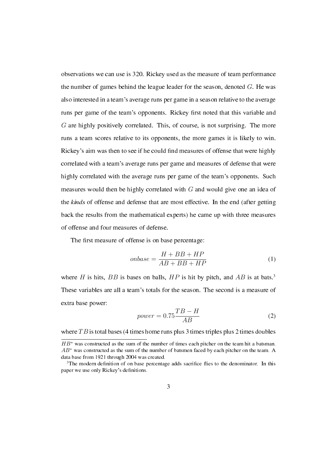observations we can use is 320. Rickey used as the measure of team performance the number of games behind the league leader for the season, denoted *G*. He was also interested in a team's average runs per game in a season relative to the average runs per game of the team's opponents. Rickey first noted that this variable and *G* are highly positively correlated. This, of course, is not surprising. The more runs a team scores relative to its opponents, the more games it is likely to win. Rickey's aim was then to see if he could find measures of offense that were highly correlated with a team's average runs per game and measures of defense that were highly correlated with the average runs per game of the team's opponents. Such measures would then be highly correlated with *G* and would give one an idea of the kinds of offense and defense that are most effective. In the end (after getting back the results from the mathematical experts) he came up with three measures of offense and four measures of defense.

The first measure of offense is on base percentage:

$$
on base = \frac{H + BB + HP}{AB + BB + HP}
$$
 (1)

where *H* is hits, *BB* is bases on balls, *HP* is hit by pitch, and *AB* is at bats.<sup>3</sup> These variables are all a team's totals for the season. The second is a measure of extra base power:

$$
power = 0.75 \frac{TB - H}{AB}
$$
 (2)

where *TB* is total bases (4 times home runs plus 3 times triples plus 2 times doubles

*HB*<sup>∗</sup> was constructed as the sum of the number of times each pitcher on the team hit a batsman. *AB<sup>∗</sup>* was constructed as the sum of the number of batsmen faced by each pitcher on the team. A data base from 1921 through 2004 was created.

 $3$ The modern definition of on base percentage adds sacrifice flies to the denominator. In this paper we use only Rickey's definitions.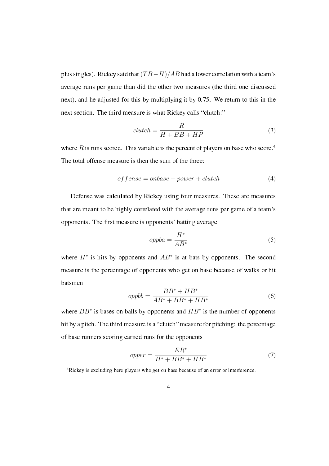plus singles). Rickey said that(*T B−H*)*/AB* had a lower correlation with a team's average runs per game than did the other two measures (the third one discussed next), and he adjusted for this by multiplying it by 0.75. We return to this in the next section. The third measure is what Rickey calls "clutch:"

$$
clutch = \frac{R}{H + BB + HP}
$$
\n(3)

where  $R$  is runs scored. This variable is the percent of players on base who score.<sup>4</sup> The total offense measure is then the sum of the three:

$$
of fense = on base + power + clutch \tag{4}
$$

Defense was calculated by Rickey using four measures. These are measures that are meant to be highly correlated with the average runs per game of a team's opponents. The first measure is opponents' batting average:

$$
oppba = \frac{H^*}{AB^*} \tag{5}
$$

where  $H^*$  is hits by opponents and  $AB^*$  is at bats by opponents. The second measure is the percentage of opponents who get on base because of walks or hit batsmen:

$$
oppbb = \frac{BB^* + HB^*}{AB^* + BB^* + HB^*}
$$
\n
$$
(6)
$$

where *BB<sup>∗</sup>* is bases on balls by opponents and *HB<sup>∗</sup>* is the number of opponents hit by a pitch. The third measure is a "clutch" measure for pitching: the percentage of base runners scoring earned runs for the opponents

$$
opper = \frac{ER^*}{H^* + BB^* + HB^*}
$$
\n<sup>(7)</sup>

<sup>4</sup>Rickey is excluding here players who get on base because of an error or interference.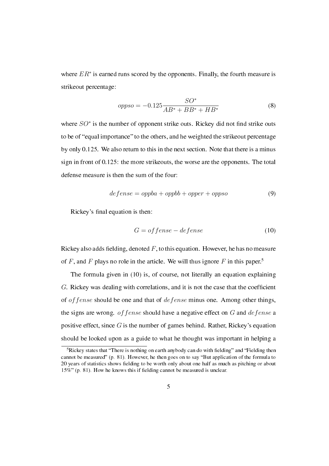where *ER<sup>∗</sup>* is earned runs scored by the opponents. Finally, the fourth measure is strikeout percentage:

$$
oppso = -0.125 \frac{SO^*}{AB^* + BB^* + HB^*}
$$
 (8)

where  $SO^*$  is the number of opponent strike outs. Rickey did not find strike outs to be of "equal importance" to the others, and he weighted the strikeout percentage by only 0.125. We also return to this in the next section. Note that there is a minus sign in front of 0.125: the more strikeouts, the worse are the opponents. The total defense measure is then the sum of the four:

$$
defense = oppba + oppbb + opper + oppso
$$
\n(9)

Rickey's final equation is then:

$$
G = of fense - defense
$$
\n<sup>(10)</sup>

Rickey also adds fielding, denoted  $F$ , to this equation. However, he has no measure of *F*, and *F* plays no role in the article. We will thus ignore *F* in this paper.<sup>5</sup>

The formula given in (10) is, of course, not literally an equation explaining G. Rickey was dealing with correlations, and it is not the case that the coefficient of *offense* should be one and that of *defense* minus one. Among other things, the signs are wrong. *offense* should have a negative effect on *G* and *defense* a positive effect, since *G* is the number of games behind. Rather, Rickey's equation should be looked upon as a guide to what he thought was important in helping a

<sup>&</sup>lt;sup>5</sup>Rickey states that "There is nothing on earth anybody can do with fielding" and "Fielding then cannot be measured"  $(p, 81)$ . However, he then goes on to say "But application of the formula to 20 years of statistics shows fielding to be worth only about one half as much as pitching or about 15%" (p. 81). How he knows this if fielding cannot be measured is unclear.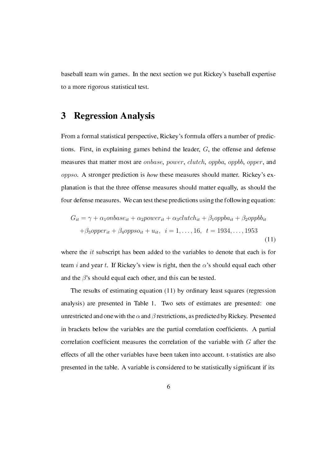baseball team win games. In the next section we put Rickey's baseball expertise to a more rigorous statistical test.

## 3 Regression Analysis

From a formal statistical perspective, Rickey's formula offers a number of predictions. First, in explaining games behind the leader, *G*, the offense and defense measures that matter most are *onbase*, *power*, *clutch*, *oppba*, *oppbb*, *opper*, and *oppso*. A stronger prediction is how these measures should matter. Rickey's explanation is that the three offense measures should matter equally, as should the four defense measures. We can test these predictions using the following equation:

$$
G_{it} = \gamma + \alpha_1 on base_{it} + \alpha_2 power_{it} + \alpha_3 clutch_{it} + \beta_1 oppba_{it} + \beta_2 oppbb_{it}
$$

$$
+ \beta_3 opper_{it} + \beta_4 oppso_{it} + u_{it}, \quad i = 1, ..., 16, \quad t = 1934, ..., 1953
$$
(11)

where the *it* subscript has been added to the variables to denote that each is for team *i* and year *t*. If Rickey's view is right, then the *α*'s should equal each other and the  $\beta$ 's should equal each other, and this can be tested.

The results of estimating equation (11) by ordinary least squares (regression analysis) are presented in Table 1. Two sets of estimates are presented: one unrestricted and one with the  $\alpha$  and  $\beta$  restrictions, as predicted by Rickey. Presented in brackets below the variables are the partial correlation coefficients. A partial correlation coefficient measures the correlation of the variable with *G* after the effects of all the other variables have been taken into account. t-statistics are also presented in the table. A variable is considered to be statistically signicant if its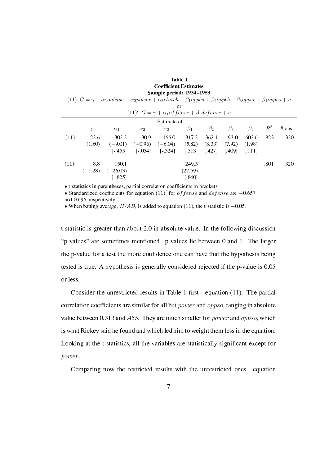#### Table 1 Coefficient Estimates Sample period: 1934-1953

(11)  $G = \gamma + \alpha_1 \text{onbase} + \alpha_2 \text{power} + \alpha_3 \text{clutch} + \beta_1 \text{oppba} + \beta_2 \text{oppbb} + \beta_3 \text{opper} + \beta_4 \text{oppso} + u$ 

| 0ľ                                                             |          |                      |            |            |           |           |           |           |       |          |
|----------------------------------------------------------------|----------|----------------------|------------|------------|-----------|-----------|-----------|-----------|-------|----------|
| $(11)'$ $G = \gamma + \alpha_1 of fense + \beta_1 defense + u$ |          |                      |            |            |           |           |           |           |       |          |
| Estimate of                                                    |          |                      |            |            |           |           |           |           |       |          |
|                                                                | $\gamma$ | $\alpha_1$           | $\alpha_2$ | $\alpha_3$ | $\beta_1$ | $\beta_2$ | $\beta_3$ | $\beta_4$ | $R^2$ | $#$ obs. |
| (11)                                                           | 22.6     | $-302.2$             | $-30.9$    | $-155.0$   | 317.2     | 362.1     | 193.0     | 603.6     | .823  | 320      |
|                                                                | (1.60)   | $(-9.01)$            | $(-0.96)$  | $(-6.04)$  | (5.82)    | (8.33)    | (7.92)    | (1.98)    |       |          |
|                                                                |          | $[-455]$             | $[-054]$   | $-3241$    | 1.3131    | 1.4271    | [409]     | T.1111    |       |          |
| (11)'                                                          | $-8.8$   | $-150.1$             |            |            | 249.5     |           |           |           | .801  | 320      |
|                                                                |          | $(-1.28)$ $(-26.03)$ |            |            | (27.59)   |           |           |           |       |          |
|                                                                |          | $[-825]$             |            |            | $[.840]$  |           |           |           |       |          |

• t-statistics in parentheses, partial correlation coefficients in brackets.

• Standardized coefficients for equation  $(11)'$  for *of fense* and *defense* are *−*0.657 and 0.696, respectively.

*•* When batting average, *H/AB*, is added to equation (11), the t-statistic is *−*0.05.

t-statistic is greater than about 2.0 in absolute value. In the following discussion "p-values" are sometimes mentioned. p-values lie between 0 and 1. The larger the p-value for a test the more condence one can have that the hypothesis being tested is true. A hypothesis is generally considered rejected if the p-value is 0.05 or less.

Consider the unrestricted results in Table 1 first—equation  $(11)$ . The partial correlation coefcients are similar for all but *power* and *oppso*, ranging in absolute value between 0.313 and .455. They are much smaller for *power* and *oppso*, which is what Rickey said he found and which led him to weight them less in the equation. Looking at the t-statistics, all the variables are statistically signicant except for *power*.

Comparing now the restricted results with the unrestricted ones—equation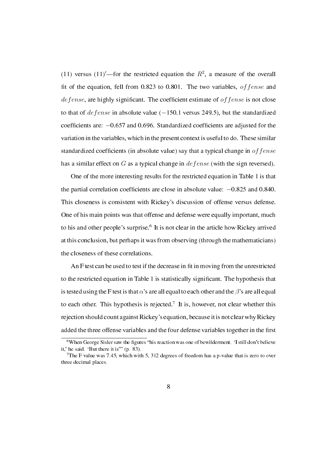(11) versus (11)<sup>'</sup>—for the restricted equation the  $R^2$ , a measure of the overall fit of the equation, fell from 0.823 to 0.801. The two variables, *of fense* and de fense, are highly significant. The coefficient estimate of *of fense* is not close to that of *defense* in absolute value (*−*150.1 versus 249.5), but the standardized coefficients are:  $-0.657$  and 0.696. Standardized coefficients are adjusted for the variation in the variables, which in the present context is useful to do. These similar standardized coefcients (in absolute value) say that a typical change in *offense* has a similar effect on *G* as a typical change in *defense* (with the sign reversed).

One of the more interesting results for the restricted equation in Table 1 is that the partial correlation coefficients are close in absolute value:  $-0.825$  and 0.840. This closeness is consistent with Rickey's discussion of offense versus defense. One of his main points was that offense and defense were equally important, much to his and other people's surprise.<sup>6</sup> It is not clear in the article how Rickey arrived at this conclusion, but perhaps it was from observing (through the mathematicians) the closeness of these correlations.

An F test can be used to test if the decrease in fit in moving from the unrestricted to the restricted equation in Table 1 is statistically signicant. The hypothesis that is tested using the F test is that  $\alpha$ 's are all equal to each other and the  $\beta$ 's are all equal to each other. This hypothesis is rejected.<sup>7</sup> It is, however, not clear whether this rejection should count against Rickey's equation, because it is not clear why Rickey added the three offense variables and the four defense variables together in the first

 $6$ When George Sisler saw the figures "his reaction was one of bewilderment. 'I still don't believe it,' he said. 'But there it is'" (p.  $83$ ).

<sup>&</sup>lt;sup>7</sup>The F value was 7.45, which with 5, 312 degrees of freedom has a p-value that is zero to over three decimal places.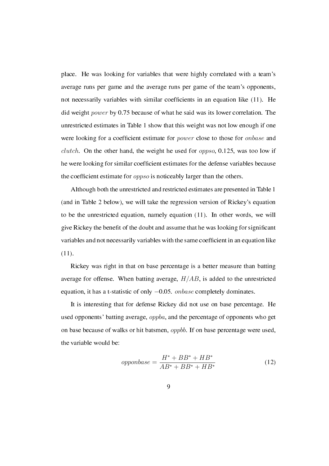place. He was looking for variables that were highly correlated with a team's average runs per game and the average runs per game of the team's opponents, not necessarily variables with similar coefficients in an equation like (11). He did weight *power* by 0.75 because of what he said was its lower correlation. The unrestricted estimates in Table 1 show that this weight was not low enough if one were looking for a coefficient estimate for *power* close to those for *onbase* and *clutch*. On the other hand, the weight he used for *oppso*, 0.125, was too low if he were looking for similar coefficient estimates for the defense variables because the coefficient estimate for *oppso* is noticeably larger than the others.

Although both the unrestricted and restricted estimates are presented in Table 1 (and in Table 2 below), we will take the regression version of Rickey's equation to be the unrestricted equation, namely equation (11). In other words, we will give Rickey the benet of the doubt and assume that he was looking for signicant variables and not necessarily variables with the same coefficient in an equation like  $(11).$ 

Rickey was right in that on base percentage is a better measure than batting average for offense. When batting average, *H/AB*, is added to the unrestricted equation, it has a t-statistic of only *−*0.05. *onbase* completely dominates.

It is interesting that for defense Rickey did not use on base percentage. He used opponents' batting average, *oppba*, and the percentage of opponents who get on base because of walks or hit batsmen, *oppbb*. If on base percentage were used, the variable would be:

$$
opponbase = \frac{H^* + BB^* + HB^*}{AB^* + BB^* + HB^*}
$$
\n(12)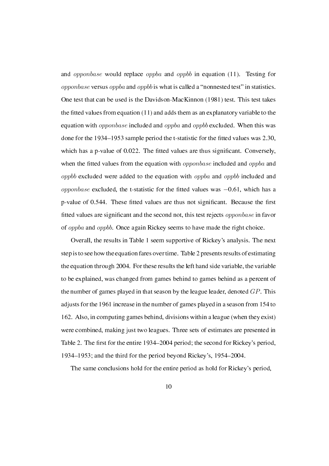and *opponbase* would replace *oppba* and *oppbb* in equation (11). Testing for *opponbase* versus *oppba* and *oppbb* is what is called a "nonnested test" in statistics. One test that can be used is the Davidson-MacKinnon (1981) test. This test takes the fitted values from equation  $(11)$  and adds them as an explanatory variable to the equation with *opponbase* included and *oppba* and *oppbb* excluded. When this was done for the  $1934-1953$  sample period the t-statistic for the fitted values was 2.30, which has a p-value of 0.022. The fitted values are thus significant. Conversely, when the fitted values from the equation with *opponbase* included and *oppba* and *oppbb* excluded were added to the equation with *oppba* and *oppbb* included and *opponbase* excluded, the t-statistic for the fitted values was  $-0.61$ , which has a p-value of 0.544. These fitted values are thus not significant. Because the first tted values are signicant and the second not, this test rejects *opponbase* in favor of *oppba* and *oppbb*. Once again Rickey seems to have made the right choice.

Overall, the results in Table 1 seem supportive of Rickey's analysis. The next step is to see how the equation fares over time. Table 2 presents results of estimating the equation through 2004. For these results the left hand side variable, the variable to be explained, was changed from games behind to games behind as a percent of the number of games played in that season by the league leader, denoted *GP*. This adjusts for the 1961 increase in the number of games played in a season from 154 to 162. Also, in computing games behind, divisions within a league (when they exist) were combined, making just two leagues. Three sets of estimates are presented in Table 2. The first for the entire 1934–2004 period; the second for Rickey's period, 1934–1953; and the third for the period beyond Rickey's,  $1954-2004$ .

The same conclusions hold for the entire period as hold for Rickey's period,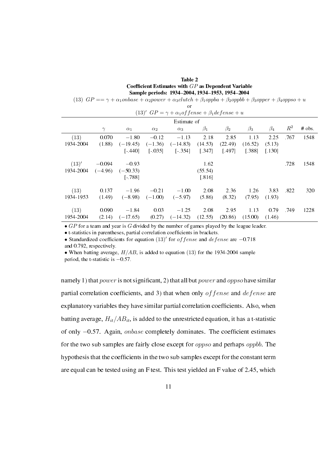#### Table 2 Coefficient Estimates with *GP* as Dependent Variable Sample periods: 1934-2004, 1934-1953, 1954-2004

|  | (13) $GP == \gamma + \alpha_1 on base + \alpha_2 power + \alpha_3 cluster + \beta_1 oppba + \beta_2 oppbb + \beta_3 opper + \beta_4 oppso + u$ |  |
|--|------------------------------------------------------------------------------------------------------------------------------------------------|--|
|  |                                                                                                                                                |  |

| Estimate of |           |            |            |            |           |           |           |           |       |          |
|-------------|-----------|------------|------------|------------|-----------|-----------|-----------|-----------|-------|----------|
|             | $\gamma$  | $\alpha_1$ | $\alpha_2$ | $\alpha_3$ | $\beta_1$ | $\beta_2$ | $\beta_3$ | $\beta_4$ | $R^2$ | $#$ obs. |
| (13)        | 0.070     | $-1.80$    | $-0.12$    | $-1.13$    | 2.18      | 2.85      | 1.13      | 2.25      | .767  | 1548     |
| 1934-2004   | (1.88)    | $(-19.45)$ | $(-1.36)$  | $(-14.83)$ | (14.53)   | (22.49)   | (16.52)   | (5.13)    |       |          |
|             |           | $[-440]$   | $[-035]$   | $[-.354]$  | 1.3471    | [.497]    | [.388]    | $[.130]$  |       |          |
| (13)'       | $-0.094$  | $-0.93$    |            |            | 1.62      |           |           |           | .728  | 1548     |
| 1934-2004   | $(-4.96)$ | $(-50.33)$ |            |            | (55.54)   |           |           |           |       |          |
|             |           | $[-.788]$  |            |            | $[.816]$  |           |           |           |       |          |
| (13)        | 0.137     | $-1.96$    | $-0.21$    | $-1.00$    | 2.08      | 2.36      | 1.26      | 3.83      | .822  | 320      |
| 1934-1953   | (1.49)    | $(-8.98)$  | $(-1.00)$  | $(-5.97)$  | (5.86)    | (8.32)    | (7.95)    | (1.93)    |       |          |
| (13)        | 0.090     | $-1.84$    | 0.03       | $-1.25$    | 2.08      | 2.95      | 1.13      | 0.79      | .749  | 1228     |
| 1954-2004   | (2.14)    | $(-17.65)$ | (0.27)     | $(-14.32)$ | (12.55)   | (20.86)   | (15.00)   | (1.46)    |       |          |

*• GP* for a team and year is *G* divided by the number of games played by the league leader.

• t-statistics in parentheses, partial correlation coefficients in brackets.

*•* Standardized coefcients for equation (13)*<sup>0</sup>* for *offense* and *defense* are *−*0.718 and 0.792, respectively.

*•* When batting average, *H/AB*, is added to equation (13) for the 1934-2004 sample period, the t-statistic is *−*0.57.

namely 1) that *power* is not signicant, 2) that all but *power* and *oppso* have similar partial correlation coefficients, and 3) that when only *of fense* and *defense* are explanatory variables they have similar partial correlation coefficients. Also, when batting average,  $H_{it}/AB_{it}$ , is added to the unrestricted equation, it has a t-statistic of only *−*0.57. Again, *onbase* completely dominates. The coefficient estimates for the two sub samples are fairly close except for *oppso* and perhaps *oppbb*. The hypothesis that the coefficients in the two sub samples except for the constant term are equal can be tested using an F test. This test yielded an F value of 2.45, which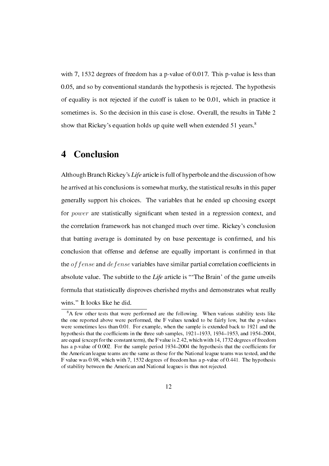with 7, 1532 degrees of freedom has a p-value of 0.017. This p-value is less than 0.05, and so by conventional standards the hypothesis is rejected. The hypothesis of equality is not rejected if the cutoff is taken to be 0.01, which in practice it sometimes is. So the decision in this case is close. Overall, the results in Table 2 show that Rickey's equation holds up quite well when extended 51 years.<sup>8</sup>

### 4 Conclusion

Although Branch Rickey's Life article is full of hyperbole and the discussion of how he arrived at his conclusions is somewhat murky, the statistical results in this paper generally support his choices. The variables that he ended up choosing except for *power* are statistically significant when tested in a regression context, and the correlation framework has not changed much over time. Rickey's conclusion that batting average is dominated by on base percentage is confirmed, and his conclusion that offense and defense are equally important is confirmed in that the *of fense* and *defense* variables have similar partial correlation coefficients in absolute value. The subtitle to the Life article is "The Brain' of the game unveils formula that statistically disproves cherished myths and demonstrates what really wins." It looks like he did.

 $8A$  few other tests that were performed are the following. When various stability tests like the one reported above were performed, the F values tended to be fairly low, but the p-values were sometimes less than 0.01. For example, when the sample is extended back to 1921 and the hypothesis that the coefficients in the three sub samples,  $1921-1933$ ,  $1934-1953$ , and  $1954-2004$ , are equal (except for the constant term), the F value is 2.42, which with 14, 1732 degrees of freedom has a p-value of 0.002. For the sample period 1934–2004 the hypothesis that the coefficients for the American league teams are the same as those for the National league teams was tested, and the F value was 0.98, which with 7, 1532 degrees of freedom has a p-value of 0.441. The hypothesis of stability between the American and National leagues is thus not rejected.